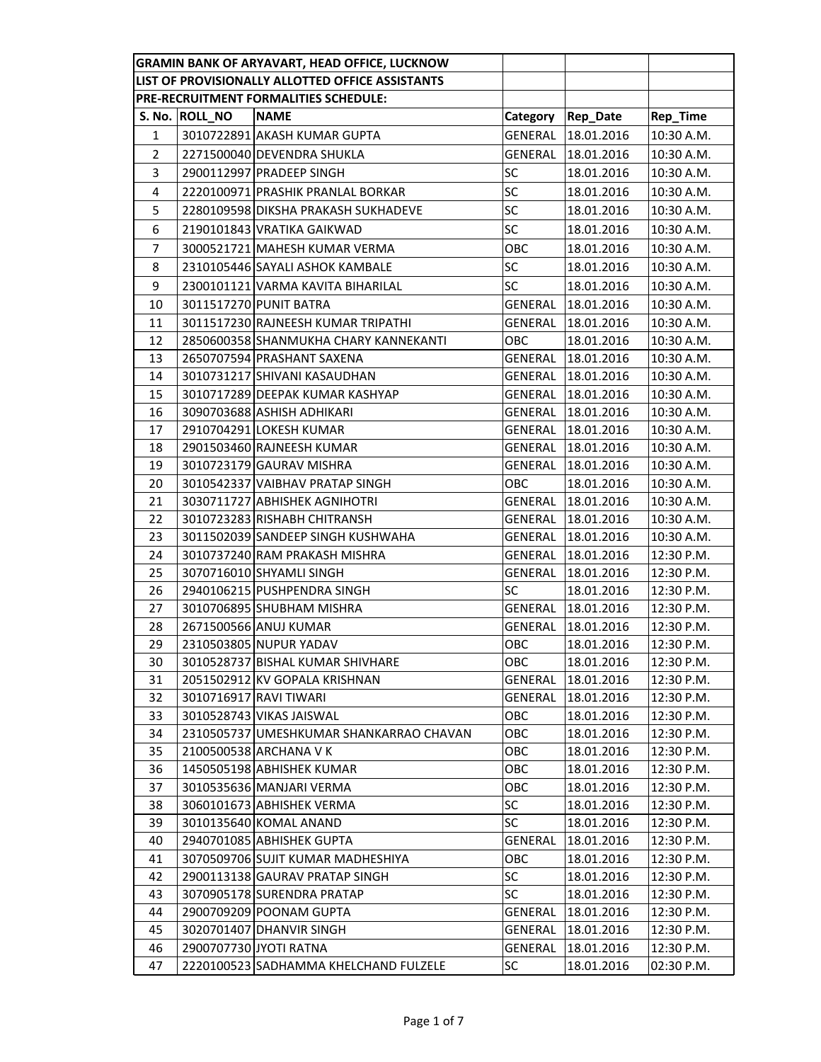| GRAMIN BANK OF ARYAVART, HEAD OFFICE, LUCKNOW |                |                                                     |                |                          |                          |
|-----------------------------------------------|----------------|-----------------------------------------------------|----------------|--------------------------|--------------------------|
|                                               |                | LIST OF PROVISIONALLY ALLOTTED OFFICE ASSISTANTS    |                |                          |                          |
| PRE-RECRUITMENT FORMALITIES SCHEDULE:         |                |                                                     |                |                          |                          |
|                                               | S. No. ROLL_NO | <b>NAME</b>                                         | Category       | <b>Rep_Date</b>          | Rep_Time                 |
| 1                                             |                | 3010722891 AKASH KUMAR GUPTA                        | GENERAL        | 18.01.2016               | 10:30 A.M.               |
| $\overline{2}$                                |                | 2271500040 DEVENDRA SHUKLA                          | GENERAL        | 18.01.2016               | 10:30 A.M.               |
| 3                                             |                | 2900112997 PRADEEP SINGH                            | SC             | 18.01.2016               | 10:30 A.M.               |
| 4                                             |                | 2220100971 PRASHIK PRANLAL BORKAR                   | SC             | 18.01.2016               | 10:30 A.M.               |
| 5                                             |                | 2280109598 DIKSHA PRAKASH SUKHADEVE                 | <b>SC</b>      | 18.01.2016               | 10:30 A.M.               |
| 6                                             |                | 2190101843 VRATIKA GAIKWAD                          | <b>SC</b>      | 18.01.2016               | 10:30 A.M.               |
| $\overline{7}$                                |                | 3000521721 MAHESH KUMAR VERMA                       | ОВС            | 18.01.2016               | 10:30 A.M.               |
| 8                                             |                | 2310105446 SAYALI ASHOK KAMBALE                     | <b>SC</b>      | 18.01.2016               | 10:30 A.M.               |
| 9                                             |                | 2300101121 VARMA KAVITA BIHARILAL                   | SC             | 18.01.2016               | 10:30 A.M.               |
| 10                                            |                | 3011517270 PUNIT BATRA                              | GENERAL        | 18.01.2016               | 10:30 A.M.               |
| 11                                            |                | 3011517230 RAJNEESH KUMAR TRIPATHI                  | GENERAL        | 18.01.2016               | 10:30 A.M.               |
| 12                                            |                | 2850600358 SHANMUKHA CHARY KANNEKANTI               | ОВС            | 18.01.2016               | 10:30 A.M.               |
| 13                                            |                | 2650707594 PRASHANT SAXENA                          | GENERAL        | 18.01.2016               | 10:30 A.M.               |
| 14                                            |                | 3010731217 SHIVANI KASAUDHAN                        | GENERAL        | 18.01.2016               | 10:30 A.M.               |
| 15                                            |                | 3010717289 DEEPAK KUMAR KASHYAP                     | GENERAL        | 18.01.2016               | 10:30 A.M.               |
| 16                                            |                | 3090703688 ASHISH ADHIKARI                          | GENERAL        | 18.01.2016               | 10:30 A.M.               |
| 17                                            |                | 2910704291 LOKESH KUMAR                             | GENERAL        | 18.01.2016               | 10:30 A.M.               |
| 18                                            |                | 2901503460 RAJNEESH KUMAR                           | GENERAL        | 18.01.2016               | 10:30 A.M.               |
| 19                                            |                | 3010723179 GAURAV MISHRA                            | GENERAL        | 18.01.2016               | 10:30 A.M.               |
| 20                                            |                | 3010542337 VAIBHAV PRATAP SINGH                     | OBC            | 18.01.2016               | 10:30 A.M.               |
| 21                                            |                | 3030711727 ABHISHEK AGNIHOTRI                       | GENERAL        | 18.01.2016               | 10:30 A.M.               |
| 22                                            |                | 3010723283 RISHABH CHITRANSH                        | GENERAL        | 18.01.2016               | 10:30 A.M.               |
| 23                                            |                | 3011502039 SANDEEP SINGH KUSHWAHA                   | GENERAL        | 18.01.2016               | 10:30 A.M.               |
| 24                                            |                | 3010737240 RAM PRAKASH MISHRA                       | GENERAL        | 18.01.2016               | 12:30 P.M.               |
| 25                                            |                | 3070716010 SHYAMLI SINGH                            | GENERAL        | 18.01.2016               | 12:30 P.M.               |
| 26                                            |                | 2940106215 PUSHPENDRA SINGH                         | <b>SC</b>      | 18.01.2016               | 12:30 P.M.               |
| 27                                            |                | 3010706895 SHUBHAM MISHRA                           | GENERAL        | 18.01.2016               | 12:30 P.M.               |
| 28                                            |                | 2671500566 ANUJ KUMAR                               | GENERAL        | 18.01.2016               | 12:30 P.M.               |
| 29                                            |                | 2310503805 NUPUR YADAV                              | OBC            | 18.01.2016               | 12:30 P.M.               |
| 30                                            |                | 3010528737 BISHAL KUMAR SHIVHARE                    | OBC            | 18.01.2016               | 12:30 P.M.               |
| 31                                            |                | 2051502912 KV GOPALA KRISHNAN                       | <b>GENERAL</b> | 18.01.2016               | 12:30 P.M.               |
| 32                                            |                | 3010716917 RAVI TIWARI                              | GENERAL        | 18.01.2016               | 12:30 P.M.               |
| 33                                            |                | 3010528743 VIKAS JAISWAL                            | <b>OBC</b>     | 18.01.2016               | 12:30 P.M.               |
| 34                                            |                | 2310505737 UMESHKUMAR SHANKARRAO CHAVAN             | OBC            | 18.01.2016               | 12:30 P.M.               |
| 35<br>36                                      |                | 2100500538 ARCHANA V K<br>1450505198 ABHISHEK KUMAR | OBC            | 18.01.2016               | 12:30 P.M.               |
| 37                                            |                | 3010535636 MANJARI VERMA                            | OBC<br>OBC     | 18.01.2016<br>18.01.2016 | 12:30 P.M.<br>12:30 P.M. |
| 38                                            |                | 3060101673 ABHISHEK VERMA                           | <b>SC</b>      | 18.01.2016               | 12:30 P.M.               |
| 39                                            |                | 3010135640 KOMAL ANAND                              | SC             | 18.01.2016               | 12:30 P.M.               |
| 40                                            |                | 2940701085 ABHISHEK GUPTA                           | <b>GENERAL</b> | 18.01.2016               | 12:30 P.M.               |
| 41                                            |                | 3070509706 SUJIT KUMAR MADHESHIYA                   | ОВС            | 18.01.2016               | 12:30 P.M.               |
| 42                                            |                | 2900113138 GAURAV PRATAP SINGH                      | SC             | 18.01.2016               | 12:30 P.M.               |
| 43                                            |                | 3070905178 SURENDRA PRATAP                          | SC             | 18.01.2016               | 12:30 P.M.               |
| 44                                            |                | 2900709209 POONAM GUPTA                             | GENERAL        | 18.01.2016               | 12:30 P.M.               |
| 45                                            |                | 3020701407 DHANVIR SINGH                            | GENERAL        | 18.01.2016               | 12:30 P.M.               |
| 46                                            |                | 2900707730 JYOTI RATNA                              | <b>GENERAL</b> | 18.01.2016               | 12:30 P.M.               |
| 47                                            |                | 2220100523 SADHAMMA KHELCHAND FULZELE               | SC             | 18.01.2016               | 02:30 P.M.               |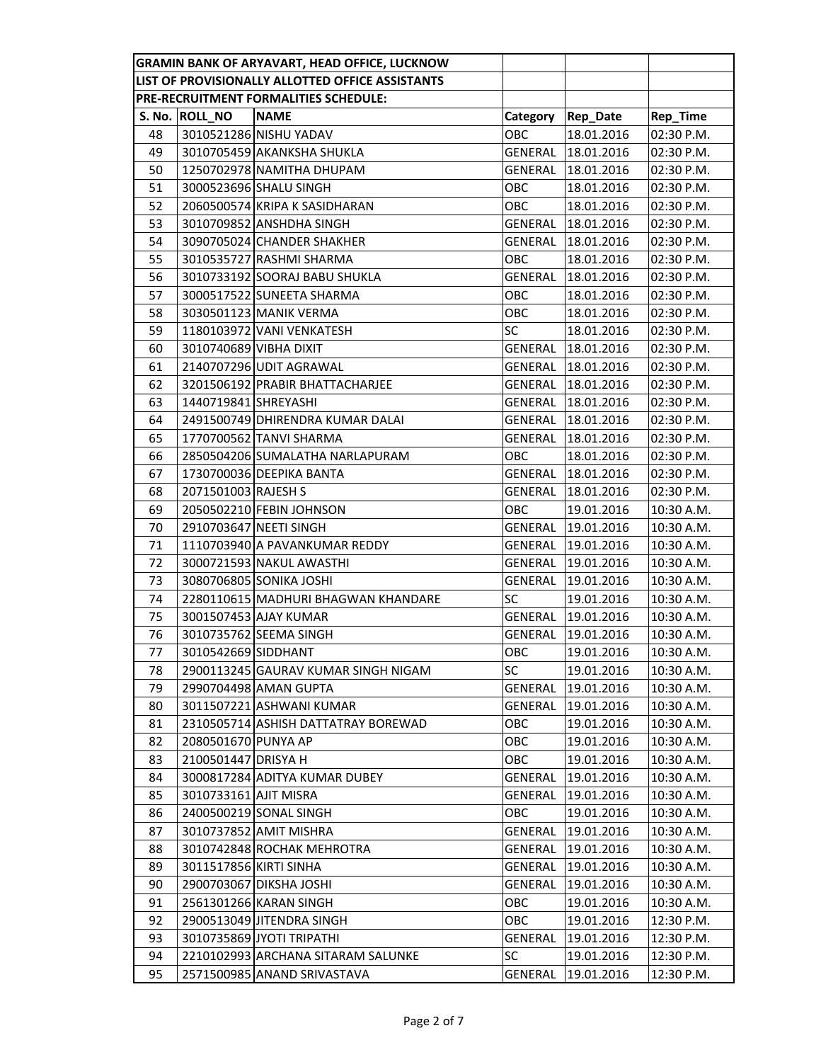|    |                        | <b>GRAMIN BANK OF ARYAVART, HEAD OFFICE, LUCKNOW</b> |            |                 |            |
|----|------------------------|------------------------------------------------------|------------|-----------------|------------|
|    |                        | LIST OF PROVISIONALLY ALLOTTED OFFICE ASSISTANTS     |            |                 |            |
|    |                        | PRE-RECRUITMENT FORMALITIES SCHEDULE:                |            |                 |            |
|    | S. No. ROLL_NO         | <b>NAME</b>                                          | Category   | <b>Rep_Date</b> | Rep_Time   |
| 48 |                        | 3010521286 NISHU YADAV                               | ОВС        | 18.01.2016      | 02:30 P.M. |
| 49 |                        | 3010705459 AKANKSHA SHUKLA                           | GENERAL    | 18.01.2016      | 02:30 P.M. |
| 50 |                        | 1250702978 NAMITHA DHUPAM                            | GENERAL    | 18.01.2016      | 02:30 P.M. |
| 51 |                        | 3000523696 SHALU SINGH                               | ОВС        | 18.01.2016      | 02:30 P.M. |
| 52 |                        | 2060500574 KRIPA K SASIDHARAN                        | OBC        | 18.01.2016      | 02:30 P.M. |
| 53 |                        | 3010709852 ANSHDHA SINGH                             | GENERAL    | 18.01.2016      | 02:30 P.M. |
| 54 |                        | 3090705024 CHANDER SHAKHER                           | GENERAL    | 18.01.2016      | 02:30 P.M. |
| 55 |                        | 3010535727 RASHMI SHARMA                             | OBC        | 18.01.2016      | 02:30 P.M. |
| 56 |                        | 3010733192 SOORAJ BABU SHUKLA                        | GENERAL    | 18.01.2016      | 02:30 P.M. |
| 57 |                        | 3000517522 SUNEETA SHARMA                            | <b>OBC</b> | 18.01.2016      | 02:30 P.M. |
| 58 |                        | 3030501123 MANIK VERMA                               | ОВС        | 18.01.2016      | 02:30 P.M. |
| 59 |                        | 1180103972 VANI VENKATESH                            | <b>SC</b>  | 18.01.2016      | 02:30 P.M. |
| 60 | 3010740689 VIBHA DIXIT |                                                      | GENERAL    | 18.01.2016      | 02:30 P.M. |
| 61 |                        | 2140707296 UDIT AGRAWAL                              | GENERAL    | 18.01.2016      | 02:30 P.M. |
| 62 |                        | 3201506192 PRABIR BHATTACHARJEE                      | GENERAL    | 18.01.2016      | 02:30 P.M. |
| 63 | 1440719841 SHREYASHI   |                                                      | GENERAL    | 18.01.2016      | 02:30 P.M. |
| 64 |                        | 2491500749 DHIRENDRA KUMAR DALAI                     | GENERAL    | 18.01.2016      | 02:30 P.M. |
| 65 |                        | 1770700562 TANVI SHARMA                              | GENERAL    | 18.01.2016      | 02:30 P.M. |
| 66 |                        | 2850504206 SUMALATHA NARLAPURAM                      | OBC        | 18.01.2016      | 02:30 P.M. |
| 67 |                        | 1730700036 DEEPIKA BANTA                             | GENERAL    | 18.01.2016      | 02:30 P.M. |
| 68 | 2071501003 RAJESH S    |                                                      | GENERAL    | 18.01.2016      | 02:30 P.M. |
| 69 |                        | 2050502210 FEBIN JOHNSON                             | ОВС        | 19.01.2016      | 10:30 A.M. |
| 70 |                        | 2910703647 NEETI SINGH                               | GENERAL    | 19.01.2016      | 10:30 A.M. |
| 71 |                        | 1110703940 A PAVANKUMAR REDDY                        | GENERAL    | 19.01.2016      | 10:30 A.M. |
| 72 |                        | 3000721593 NAKUL AWASTHI                             | GENERAL    | 19.01.2016      | 10:30 A.M. |
| 73 |                        | 3080706805 SONIKA JOSHI                              | GENERAL    | 19.01.2016      | 10:30 A.M. |
| 74 |                        | 2280110615 MADHURI BHAGWAN KHANDARE                  | <b>SC</b>  | 19.01.2016      | 10:30 A.M. |
| 75 |                        | 3001507453 AJAY KUMAR                                | GENERAL    | 19.01.2016      | 10:30 A.M. |
| 76 |                        | 3010735762 SEEMA SINGH                               | GENERAL    | 19.01.2016      | 10:30 A.M. |
| 77 | 3010542669 SIDDHANT    |                                                      | OBC        | 19.01.2016      | 10:30 A.M. |
| 78 |                        | 2900113245 GAURAV KUMAR SINGH NIGAM                  | SC         | 19.01.2016      | 10:30 A.M. |
| 79 |                        | 2990704498 AMAN GUPTA                                | GENERAL    | 19.01.2016      | 10:30 A.M. |
| 80 |                        | 3011507221 ASHWANI KUMAR                             | GENERAL    | 19.01.2016      | 10:30 A.M. |
| 81 |                        | 2310505714 ASHISH DATTATRAY BOREWAD                  | ОВС        | 19.01.2016      | 10:30 A.M. |
| 82 | 2080501670 PUNYA AP    |                                                      | OBC        | 19.01.2016      | 10:30 A.M. |
| 83 | 2100501447 DRISYA H    |                                                      | OBC        | 19.01.2016      | 10:30 A.M. |
| 84 |                        | 3000817284 ADITYA KUMAR DUBEY                        | GENERAL    | 19.01.2016      | 10:30 A.M. |
| 85 | 3010733161 AJIT MISRA  |                                                      | GENERAL    | 19.01.2016      | 10:30 A.M. |
| 86 |                        | 2400500219 SONAL SINGH                               | OBC        | 19.01.2016      | 10:30 A.M. |
| 87 |                        | 3010737852 AMIT MISHRA                               | GENERAL    | 19.01.2016      | 10:30 A.M. |
| 88 |                        | 3010742848 ROCHAK MEHROTRA                           | GENERAL    | 19.01.2016      | 10:30 A.M. |
| 89 | 3011517856 KIRTI SINHA |                                                      | GENERAL    | 19.01.2016      | 10:30 A.M. |
| 90 |                        | 2900703067 DIKSHA JOSHI                              | GENERAL    | 19.01.2016      | 10:30 A.M. |
| 91 |                        | 2561301266 KARAN SINGH                               | OBC        | 19.01.2016      | 10:30 A.M. |
| 92 |                        | 2900513049 JITENDRA SINGH                            | ОВС        | 19.01.2016      | 12:30 P.M. |
| 93 |                        | 3010735869 JYOTI TRIPATHI                            | GENERAL    | 19.01.2016      | 12:30 P.M. |
| 94 |                        | 2210102993 ARCHANA SITARAM SALUNKE                   | SC         | 19.01.2016      | 12:30 P.M. |
| 95 |                        | 2571500985 ANAND SRIVASTAVA                          | GENERAL    | 19.01.2016      | 12:30 P.M. |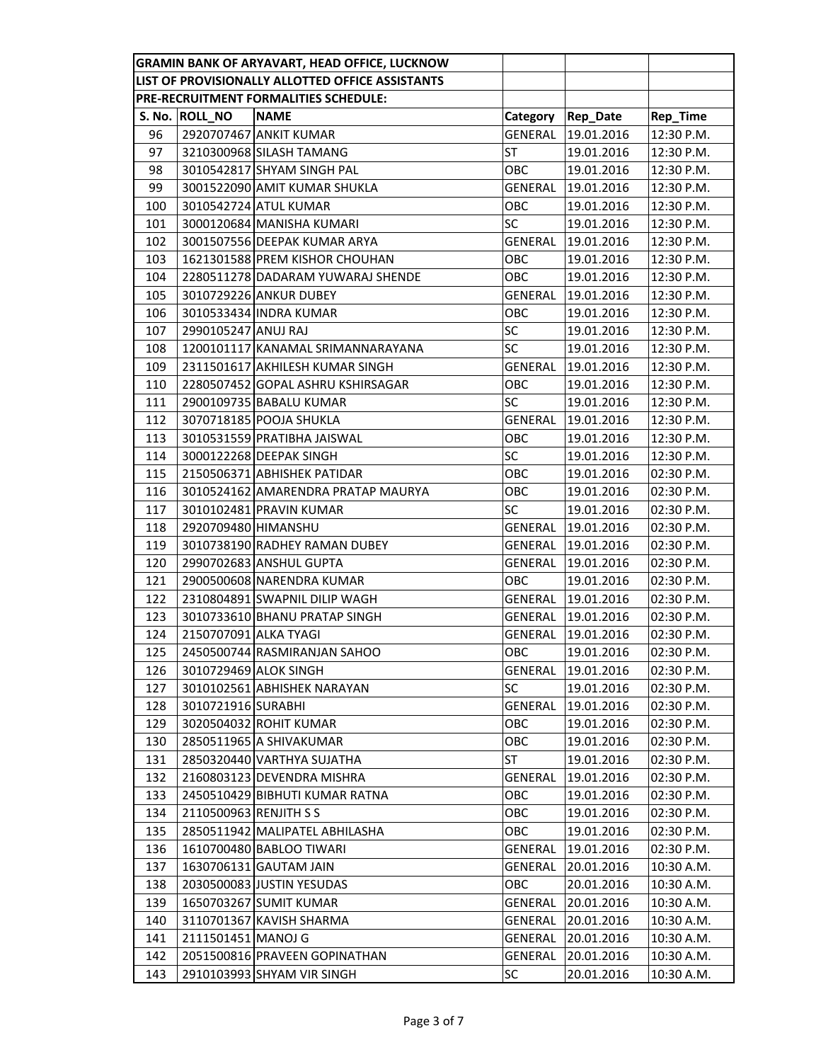|     |                        | <b>GRAMIN BANK OF ARYAVART, HEAD OFFICE, LUCKNOW</b> |           |                 |            |
|-----|------------------------|------------------------------------------------------|-----------|-----------------|------------|
|     |                        | LIST OF PROVISIONALLY ALLOTTED OFFICE ASSISTANTS     |           |                 |            |
|     |                        | PRE-RECRUITMENT FORMALITIES SCHEDULE:                |           |                 |            |
|     | S. No. ROLL_NO         | <b>NAME</b>                                          | Category  | <b>Rep_Date</b> | Rep_Time   |
| 96  |                        | 2920707467 ANKIT KUMAR                               | GENERAL   | 19.01.2016      | 12:30 P.M. |
| 97  |                        | 3210300968 SILASH TAMANG                             | ST        | 19.01.2016      | 12:30 P.M. |
| 98  |                        | 3010542817 SHYAM SINGH PAL                           | ОВС       | 19.01.2016      | 12:30 P.M. |
| 99  |                        | 3001522090 AMIT KUMAR SHUKLA                         | GENERAL   | 19.01.2016      | 12:30 P.M. |
| 100 |                        | 3010542724 ATUL KUMAR                                | OBC       | 19.01.2016      | 12:30 P.M. |
| 101 |                        | 3000120684 MANISHA KUMARI                            | SC        | 19.01.2016      | 12:30 P.M. |
| 102 |                        | 3001507556 DEEPAK KUMAR ARYA                         | GENERAL   | 19.01.2016      | 12:30 P.M. |
| 103 |                        | 1621301588 PREM KISHOR CHOUHAN                       | ОВС       | 19.01.2016      | 12:30 P.M. |
| 104 |                        | 2280511278 DADARAM YUWARAJ SHENDE                    | OBC       | 19.01.2016      | 12:30 P.M. |
| 105 |                        | 3010729226 ANKUR DUBEY                               | GENERAL   | 19.01.2016      | 12:30 P.M. |
| 106 |                        | 3010533434 INDRA KUMAR                               | OBC       | 19.01.2016      | 12:30 P.M. |
| 107 | 2990105247 ANUJ RAJ    |                                                      | SC        | 19.01.2016      | 12:30 P.M. |
| 108 |                        | 1200101117 KANAMAL SRIMANNARAYANA                    | SC        | 19.01.2016      | 12:30 P.M. |
| 109 |                        | 2311501617 AKHILESH KUMAR SINGH                      | GENERAL   | 19.01.2016      | 12:30 P.M. |
| 110 |                        | 2280507452 GOPAL ASHRU KSHIRSAGAR                    | ОВС       | 19.01.2016      | 12:30 P.M. |
| 111 |                        | 2900109735 BABALU KUMAR                              | SC        | 19.01.2016      | 12:30 P.M. |
| 112 |                        | 3070718185 POOJA SHUKLA                              | GENERAL   | 19.01.2016      | 12:30 P.M. |
| 113 |                        | 3010531559 PRATIBHA JAISWAL                          | OBC       | 19.01.2016      | 12:30 P.M. |
| 114 |                        | 3000122268 DEEPAK SINGH                              | SC        | 19.01.2016      | 12:30 P.M. |
| 115 |                        | 2150506371 ABHISHEK PATIDAR                          | ОВС       | 19.01.2016      | 02:30 P.M. |
| 116 |                        | 3010524162 AMARENDRA PRATAP MAURYA                   | ОВС       | 19.01.2016      | 02:30 P.M. |
| 117 |                        | 3010102481 PRAVIN KUMAR                              | <b>SC</b> | 19.01.2016      | 02:30 P.M. |
| 118 | 2920709480 HIMANSHU    |                                                      | GENERAL   | 19.01.2016      | 02:30 P.M. |
| 119 |                        | 3010738190 RADHEY RAMAN DUBEY                        | GENERAL   | 19.01.2016      | 02:30 P.M. |
| 120 |                        | 2990702683 ANSHUL GUPTA                              | GENERAL   | 19.01.2016      | 02:30 P.M. |
| 121 |                        | 2900500608 NARENDRA KUMAR                            | OBC       | 19.01.2016      | 02:30 P.M. |
| 122 |                        | 2310804891 SWAPNIL DILIP WAGH                        | GENERAL   | 19.01.2016      | 02:30 P.M. |
| 123 |                        | 3010733610 BHANU PRATAP SINGH                        | GENERAL   | 19.01.2016      | 02:30 P.M. |
| 124 | 2150707091 ALKA TYAGI  |                                                      | GENERAL   | 19.01.2016      | 02:30 P.M. |
| 125 |                        | 2450500744 RASMIRANJAN SAHOO                         | OBC       | 19.01.2016      | 02:30 P.M. |
| 126 |                        | 3010729469 ALOK SINGH                                | GENERAL   | 19.01.2016      | 02:30 P.M. |
| 127 |                        | 3010102561 ABHISHEK NARAYAN                          | SC        | 19.01.2016      | 02:30 P.M. |
| 128 | 3010721916 SURABHI     |                                                      | GENERAL   | 19.01.2016      | 02:30 P.M. |
| 129 |                        | 3020504032 ROHIT KUMAR                               | OBC       | 19.01.2016      | 02:30 P.M. |
| 130 |                        | 2850511965 A SHIVAKUMAR                              | OBC       | 19.01.2016      | 02:30 P.M. |
| 131 |                        | 2850320440 VARTHYA SUJATHA                           | ST        | 19.01.2016      | 02:30 P.M. |
| 132 |                        | 2160803123 DEVENDRA MISHRA                           | GENERAL   | 19.01.2016      | 02:30 P.M. |
| 133 |                        | 2450510429 BIBHUTI KUMAR RATNA                       | ОВС       | 19.01.2016      | 02:30 P.M. |
| 134 | 2110500963 RENJITH S S |                                                      | OBC       | 19.01.2016      | 02:30 P.M. |
| 135 |                        | 2850511942 MALIPATEL ABHILASHA                       | OBC       | 19.01.2016      | 02:30 P.M. |
| 136 |                        | 1610700480 BABLOO TIWARI                             | GENERAL   | 19.01.2016      | 02:30 P.M. |
| 137 |                        | 1630706131 GAUTAM JAIN                               | GENERAL   | 20.01.2016      | 10:30 A.M. |
| 138 |                        | 2030500083 JUSTIN YESUDAS                            | OBC       | 20.01.2016      | 10:30 A.M. |
| 139 |                        | 1650703267 SUMIT KUMAR                               | GENERAL   | 20.01.2016      | 10:30 A.M. |
| 140 |                        | 3110701367 KAVISH SHARMA                             | GENERAL   | 20.01.2016      | 10:30 A.M. |
| 141 | 2111501451 MANOJ G     |                                                      | GENERAL   | 20.01.2016      | 10:30 A.M. |
| 142 |                        | 2051500816 PRAVEEN GOPINATHAN                        | GENERAL   | 20.01.2016      | 10:30 A.M. |
| 143 |                        | 2910103993 SHYAM VIR SINGH                           | SC        | 20.01.2016      | 10:30 A.M. |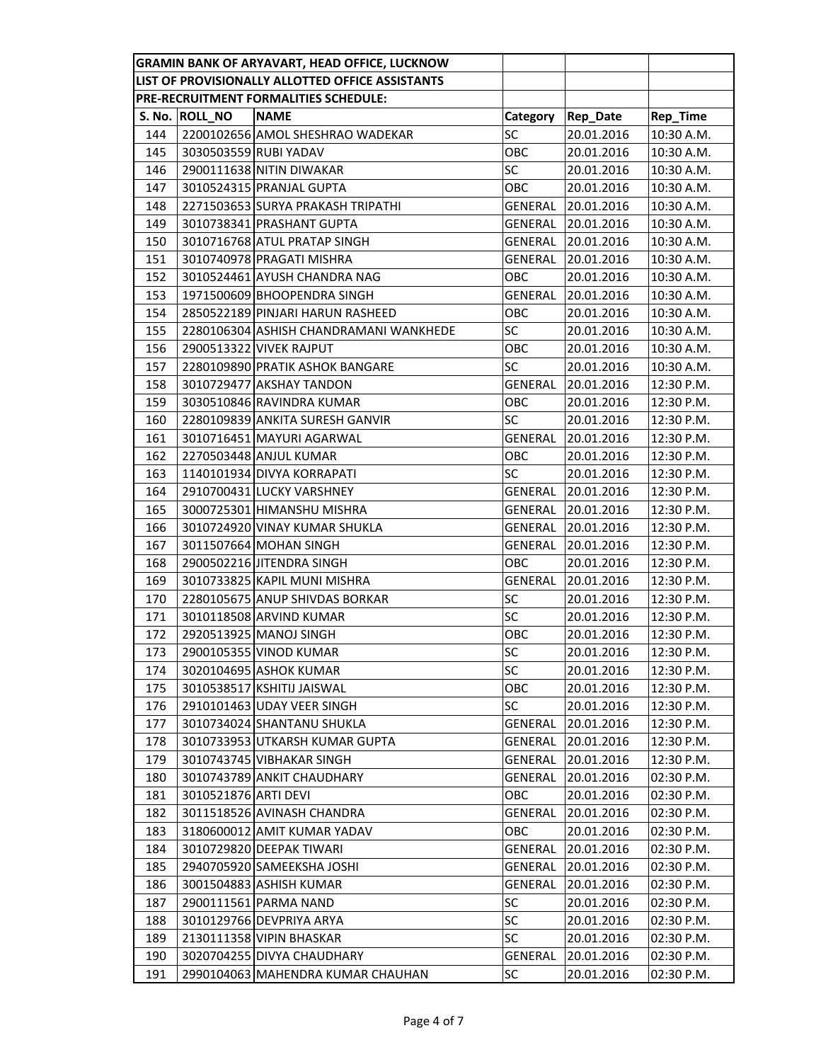|                                                  |                      | GRAMIN BANK OF ARYAVART, HEAD OFFICE, LUCKNOW |            |                 |            |
|--------------------------------------------------|----------------------|-----------------------------------------------|------------|-----------------|------------|
| LIST OF PROVISIONALLY ALLOTTED OFFICE ASSISTANTS |                      |                                               |            |                 |            |
|                                                  |                      | PRE-RECRUITMENT FORMALITIES SCHEDULE:         |            |                 |            |
|                                                  | S. No. ROLL_NO       | <b>NAME</b>                                   | Category   | <b>Rep_Date</b> | Rep_Time   |
| 144                                              |                      | 2200102656 AMOL SHESHRAO WADEKAR              | SC         | 20.01.2016      | 10:30 A.M. |
| 145                                              |                      | 3030503559 RUBI YADAV                         | ОВС        | 20.01.2016      | 10:30 A.M. |
| 146                                              |                      | 2900111638 NITIN DIWAKAR                      | SC         | 20.01.2016      | 10:30 A.M. |
| 147                                              |                      | 3010524315 PRANJAL GUPTA                      | OBC        | 20.01.2016      | 10:30 A.M. |
| 148                                              |                      | 2271503653 SURYA PRAKASH TRIPATHI             | GENERAL    | 20.01.2016      | 10:30 A.M. |
| 149                                              |                      | 3010738341 PRASHANT GUPTA                     | GENERAL    | 20.01.2016      | 10:30 A.M. |
| 150                                              |                      | 3010716768 ATUL PRATAP SINGH                  | GENERAL    | 20.01.2016      | 10:30 A.M. |
| 151                                              |                      | 3010740978 PRAGATI MISHRA                     | GENERAL    | 20.01.2016      | 10:30 A.M. |
| 152                                              |                      | 3010524461 AYUSH CHANDRA NAG                  | OBC        | 20.01.2016      | 10:30 A.M. |
| 153                                              |                      | 1971500609 BHOOPENDRA SINGH                   | GENERAL    | 20.01.2016      | 10:30 A.M. |
| 154                                              |                      | 2850522189 PINJARI HARUN RASHEED              | ОВС        | 20.01.2016      | 10:30 A.M. |
| 155                                              |                      | 2280106304 ASHISH CHANDRAMANI WANKHEDE        | <b>SC</b>  | 20.01.2016      | 10:30 A.M. |
| 156                                              |                      | 2900513322 VIVEK RAJPUT                       | OBC        | 20.01.2016      | 10:30 A.M. |
| 157                                              |                      | 2280109890 PRATIK ASHOK BANGARE               | SC         | 20.01.2016      | 10:30 A.M. |
| 158                                              |                      | 3010729477 AKSHAY TANDON                      | GENERAL    | 20.01.2016      | 12:30 P.M. |
| 159                                              |                      | 3030510846 RAVINDRA KUMAR                     | <b>OBC</b> | 20.01.2016      | 12:30 P.M. |
| 160                                              |                      | 2280109839 ANKITA SURESH GANVIR               | SC         | 20.01.2016      | 12:30 P.M. |
| 161                                              |                      | 3010716451 MAYURI AGARWAL                     | GENERAL    | 20.01.2016      | 12:30 P.M. |
| 162                                              |                      | 2270503448 ANJUL KUMAR                        | OBC        | 20.01.2016      | 12:30 P.M. |
| 163                                              |                      | 1140101934 DIVYA KORRAPATI                    | SC         | 20.01.2016      | 12:30 P.M. |
| 164                                              |                      | 2910700431 LUCKY VARSHNEY                     | GENERAL    | 20.01.2016      | 12:30 P.M. |
| 165                                              |                      | 3000725301 HIMANSHU MISHRA                    | GENERAL    | 20.01.2016      | 12:30 P.M. |
| 166                                              |                      | 3010724920 VINAY KUMAR SHUKLA                 | GENERAL    | 20.01.2016      | 12:30 P.M. |
| 167                                              |                      | 3011507664 MOHAN SINGH                        | GENERAL    | 20.01.2016      | 12:30 P.M. |
| 168                                              |                      | 2900502216 JITENDRA SINGH                     | OBC        | 20.01.2016      | 12:30 P.M. |
| 169                                              |                      | 3010733825 KAPIL MUNI MISHRA                  | GENERAL    | 20.01.2016      | 12:30 P.M. |
| 170                                              |                      | 2280105675 ANUP SHIVDAS BORKAR                | SC         | 20.01.2016      | 12:30 P.M. |
| 171                                              |                      | 3010118508 ARVIND KUMAR                       | SC         | 20.01.2016      | 12:30 P.M. |
| 172                                              |                      | 2920513925 MANOJ SINGH                        | OBC        | 20.01.2016      | 12:30 P.M. |
| 173                                              |                      | 2900105355 VINOD KUMAR                        | SC         | 20.01.2016      | 12:30 P.M. |
| 174                                              |                      | 3020104695 ASHOK KUMAR                        | SC         | 20.01.2016      | 12:30 P.M. |
| 175                                              |                      | 3010538517 KSHITIJ JAISWAL                    | OBC        | 20.01.2016      | 12:30 P.M. |
| 176                                              |                      | 2910101463 UDAY VEER SINGH                    | SC         | 20.01.2016      | 12:30 P.M. |
| 177                                              |                      | 3010734024 SHANTANU SHUKLA                    | GENERAL    | 20.01.2016      | 12:30 P.M. |
| 178                                              |                      | 3010733953 UTKARSH KUMAR GUPTA                | GENERAL    | 20.01.2016      | 12:30 P.M. |
| 179                                              |                      | 3010743745 VIBHAKAR SINGH                     | GENERAL    | 20.01.2016      | 12:30 P.M. |
| 180                                              |                      | 3010743789 ANKIT CHAUDHARY                    | GENERAL    | 20.01.2016      | 02:30 P.M. |
| 181                                              | 3010521876 ARTI DEVI |                                               | OBC        | 20.01.2016      | 02:30 P.M. |
| 182                                              |                      | 3011518526 AVINASH CHANDRA                    | GENERAL    | 20.01.2016      | 02:30 P.M. |
| 183                                              |                      | 3180600012 AMIT KUMAR YADAV                   | OBC        | 20.01.2016      | 02:30 P.M. |
| 184                                              |                      | 3010729820 DEEPAK TIWARI                      | GENERAL    | 20.01.2016      | 02:30 P.M. |
| 185                                              |                      | 2940705920 SAMEEKSHA JOSHI                    | GENERAL    | 20.01.2016      | 02:30 P.M. |
| 186                                              |                      | 3001504883 ASHISH KUMAR                       | GENERAL    | 20.01.2016      | 02:30 P.M. |
| 187                                              |                      | 2900111561 PARMA NAND                         | SC         | 20.01.2016      | 02:30 P.M. |
| 188                                              |                      | 3010129766 DEVPRIYA ARYA                      | SC         | 20.01.2016      | 02:30 P.M. |
| 189                                              |                      | 2130111358 VIPIN BHASKAR                      | SC         | 20.01.2016      | 02:30 P.M. |
| 190                                              |                      | 3020704255 DIVYA CHAUDHARY                    | GENERAL    | 20.01.2016      | 02:30 P.M. |
| 191                                              |                      | 2990104063 MAHENDRA KUMAR CHAUHAN             | SC         | 20.01.2016      | 02:30 P.M. |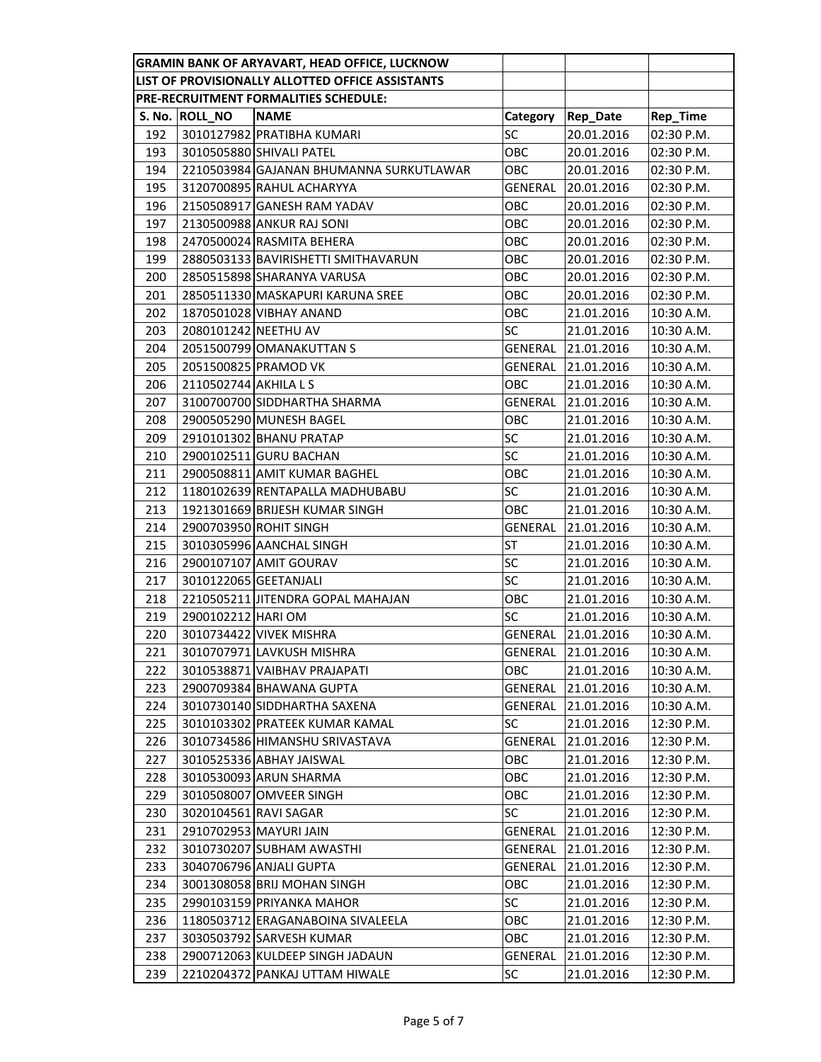|                                                  |                       | <b>GRAMIN BANK OF ARYAVART, HEAD OFFICE, LUCKNOW</b> |            |            |            |
|--------------------------------------------------|-----------------------|------------------------------------------------------|------------|------------|------------|
| LIST OF PROVISIONALLY ALLOTTED OFFICE ASSISTANTS |                       |                                                      |            |            |            |
|                                                  |                       | PRE-RECRUITMENT FORMALITIES SCHEDULE:                |            |            |            |
|                                                  | S. No. ROLL_NO        | <b>NAME</b>                                          | Category   | Rep_Date   | Rep_Time   |
| 192                                              |                       | 3010127982 PRATIBHA KUMARI                           | SC         | 20.01.2016 | 02:30 P.M. |
| 193                                              |                       | 3010505880 SHIVALI PATEL                             | ОВС        | 20.01.2016 | 02:30 P.M. |
| 194                                              |                       | 2210503984 GAJANAN BHUMANNA SURKUTLAWAR              | ОВС        | 20.01.2016 | 02:30 P.M. |
| 195                                              |                       | 3120700895 RAHUL ACHARYYA                            | GENERAL    | 20.01.2016 | 02:30 P.M. |
| 196                                              |                       | 2150508917 GANESH RAM YADAV                          | OBC        | 20.01.2016 | 02:30 P.M. |
| 197                                              |                       | 2130500988 ANKUR RAJ SONI                            | ОВС        | 20.01.2016 | 02:30 P.M. |
| 198                                              |                       | 2470500024 RASMITA BEHERA                            | OBC        | 20.01.2016 | 02:30 P.M. |
| 199                                              |                       | 2880503133 BAVIRISHETTI SMITHAVARUN                  | OBC        | 20.01.2016 | 02:30 P.M. |
| 200                                              |                       | 2850515898 SHARANYA VARUSA                           | OBC        | 20.01.2016 | 02:30 P.M. |
| 201                                              |                       | 2850511330 MASKAPURI KARUNA SREE                     | <b>OBC</b> | 20.01.2016 | 02:30 P.M. |
| 202                                              |                       | 1870501028 VIBHAY ANAND                              | ОВС        | 21.01.2016 | 10:30 A.M. |
| 203                                              | 2080101242 NEETHU AV  |                                                      | SC         | 21.01.2016 | 10:30 A.M. |
| 204                                              |                       | 2051500799 OMANAKUTTAN S                             | GENERAL    | 21.01.2016 | 10:30 A.M. |
| 205                                              |                       | 2051500825 PRAMOD VK                                 | GENERAL    | 21.01.2016 | 10:30 A.M. |
| 206                                              | 2110502744 AKHILA L S |                                                      | ОВС        | 21.01.2016 | 10:30 A.M. |
| 207                                              |                       | 3100700700 SIDDHARTHA SHARMA                         | GENERAL    | 21.01.2016 | 10:30 A.M. |
| 208                                              |                       | 2900505290 MUNESH BAGEL                              | OBC        | 21.01.2016 | 10:30 A.M. |
| 209                                              |                       | 2910101302 BHANU PRATAP                              | SC         | 21.01.2016 | 10:30 A.M. |
| 210                                              |                       | 2900102511 GURU BACHAN                               | SC         | 21.01.2016 | 10:30 A.M. |
| 211                                              |                       | 2900508811 AMIT KUMAR BAGHEL                         | ОВС        | 21.01.2016 | 10:30 A.M. |
| 212                                              |                       | 1180102639 RENTAPALLA MADHUBABU                      | SC         | 21.01.2016 | 10:30 A.M. |
| 213                                              |                       | 1921301669 BRIJESH KUMAR SINGH                       | ОВС        | 21.01.2016 | 10:30 A.M. |
| 214                                              |                       | 2900703950 ROHIT SINGH                               | GENERAL    | 21.01.2016 | 10:30 A.M. |
| 215                                              |                       | 3010305996 AANCHAL SINGH                             | ST         | 21.01.2016 | 10:30 A.M. |
| 216                                              |                       | 2900107107 AMIT GOURAV                               | SC         | 21.01.2016 | 10:30 A.M. |
| 217                                              | 3010122065 GEETANJALI |                                                      | SC         | 21.01.2016 | 10:30 A.M. |
| 218                                              |                       | 2210505211 JITENDRA GOPAL MAHAJAN                    | ОВС        | 21.01.2016 | 10:30 A.M. |
| 219                                              | 2900102212 HARI OM    |                                                      | SC         | 21.01.2016 | 10:30 A.M. |
| 220                                              |                       | 3010734422 VIVEK MISHRA                              | GENERAL    | 21.01.2016 | 10:30 A.M. |
| 221                                              |                       | 3010707971 LAVKUSH MISHRA                            | GENERAL    | 21.01.2016 | 10:30 A.M. |
| 222                                              |                       | 3010538871 VAIBHAV PRAJAPATI                         | OBC        | 21.01.2016 | 10:30 A.M. |
| 223                                              |                       | 2900709384 BHAWANA GUPTA                             | GENERAL    | 21.01.2016 | 10:30 A.M. |
| 224                                              |                       | 3010730140 SIDDHARTHA SAXENA                         | GENERAL    | 21.01.2016 | 10:30 A.M. |
| 225                                              |                       | 3010103302 PRATEEK KUMAR KAMAL                       | SC         | 21.01.2016 | 12:30 P.M. |
| 226                                              |                       | 3010734586 HIMANSHU SRIVASTAVA                       | GENERAL    | 21.01.2016 | 12:30 P.M. |
| 227                                              |                       | 3010525336 ABHAY JAISWAL                             | OBC        | 21.01.2016 | 12:30 P.M. |
| 228                                              |                       | 3010530093 ARUN SHARMA                               | OBC        | 21.01.2016 | 12:30 P.M. |
| 229                                              |                       | 3010508007 OMVEER SINGH                              | ОВС        | 21.01.2016 | 12:30 P.M. |
| 230                                              |                       | 3020104561 RAVI SAGAR                                | SC         | 21.01.2016 | 12:30 P.M. |
| 231                                              |                       | 2910702953 MAYURI JAIN                               | GENERAL    | 21.01.2016 | 12:30 P.M. |
| 232                                              |                       | 3010730207 SUBHAM AWASTHI                            | GENERAL    | 21.01.2016 | 12:30 P.M. |
| 233                                              |                       | 3040706796 ANJALI GUPTA                              | GENERAL    | 21.01.2016 | 12:30 P.M. |
| 234                                              |                       | 3001308058 BRIJ MOHAN SINGH                          | OBC        | 21.01.2016 | 12:30 P.M. |
| 235                                              |                       | 2990103159 PRIYANKA MAHOR                            | SC         | 21.01.2016 | 12:30 P.M. |
| 236                                              |                       | 1180503712 ERAGANABOINA SIVALEELA                    | ОВС        | 21.01.2016 | 12:30 P.M. |
| 237                                              |                       | 3030503792 SARVESH KUMAR                             | OBC        | 21.01.2016 | 12:30 P.M. |
| 238                                              |                       | 2900712063 KULDEEP SINGH JADAUN                      | GENERAL    | 21.01.2016 | 12:30 P.M. |
| 239                                              |                       | 2210204372 PANKAJ UTTAM HIWALE                       | SC         | 21.01.2016 | 12:30 P.M. |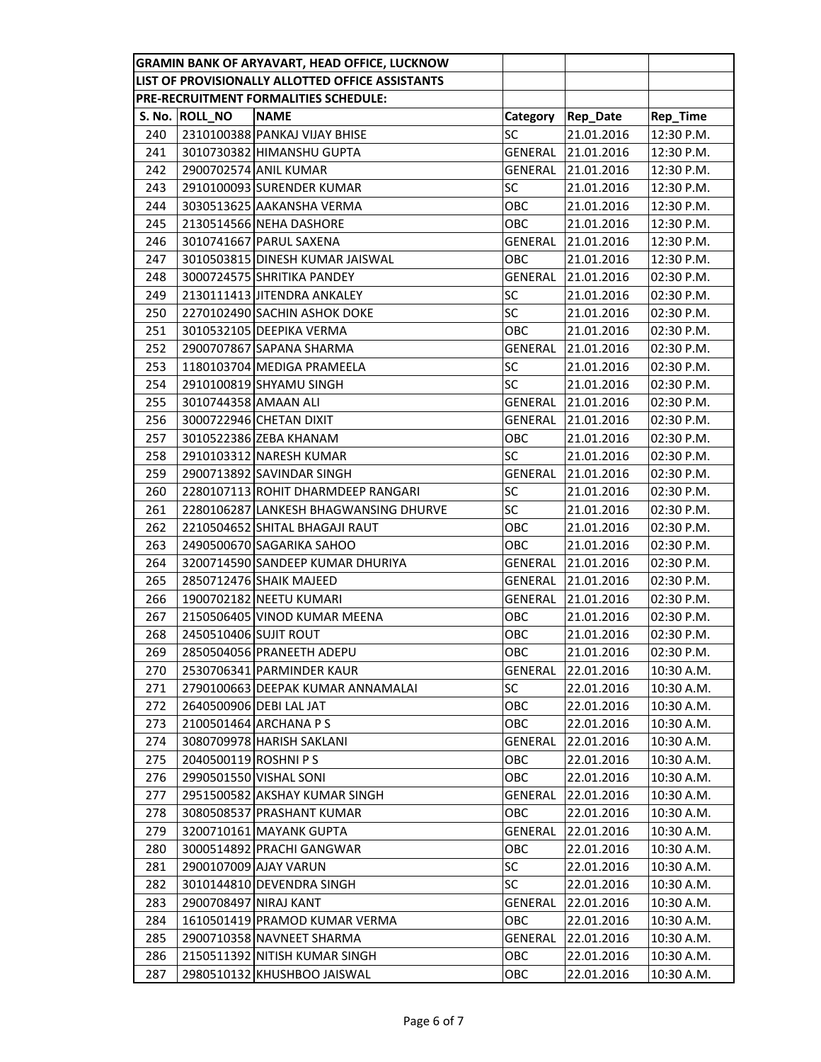|     |                       | <b>GRAMIN BANK OF ARYAVART, HEAD OFFICE, LUCKNOW</b> |                |                 |            |
|-----|-----------------------|------------------------------------------------------|----------------|-----------------|------------|
|     |                       | LIST OF PROVISIONALLY ALLOTTED OFFICE ASSISTANTS     |                |                 |            |
|     |                       | PRE-RECRUITMENT FORMALITIES SCHEDULE:                |                |                 |            |
|     | S. No. ROLL_NO        | <b>NAME</b>                                          | Category       | <b>Rep_Date</b> | Rep_Time   |
| 240 |                       | 2310100388 PANKAJ VIJAY BHISE                        | SC             | 21.01.2016      | 12:30 P.M. |
| 241 |                       | 3010730382 HIMANSHU GUPTA                            | GENERAL        | 21.01.2016      | 12:30 P.M. |
| 242 |                       | 2900702574 ANIL KUMAR                                | GENERAL        | 21.01.2016      | 12:30 P.M. |
| 243 |                       | 2910100093 SURENDER KUMAR                            | <b>SC</b>      | 21.01.2016      | 12:30 P.M. |
| 244 |                       | 3030513625 AAKANSHA VERMA                            | OBC            | 21.01.2016      | 12:30 P.M. |
| 245 |                       | 2130514566 NEHA DASHORE                              | ОВС            | 21.01.2016      | 12:30 P.M. |
| 246 |                       | 3010741667 PARUL SAXENA                              | GENERAL        | 21.01.2016      | 12:30 P.M. |
| 247 |                       | 3010503815 DINESH KUMAR JAISWAL                      | OBC            | 21.01.2016      | 12:30 P.M. |
| 248 |                       | 3000724575 SHRITIKA PANDEY                           | GENERAL        | 21.01.2016      | 02:30 P.M. |
| 249 |                       | 2130111413 JITENDRA ANKALEY                          | SC             | 21.01.2016      | 02:30 P.M. |
| 250 |                       | 2270102490 SACHIN ASHOK DOKE                         | SC             | 21.01.2016      | 02:30 P.M. |
| 251 |                       | 3010532105 DEEPIKA VERMA                             | <b>OBC</b>     | 21.01.2016      | 02:30 P.M. |
| 252 |                       | 2900707867 SAPANA SHARMA                             | GENERAL        | 21.01.2016      | 02:30 P.M. |
| 253 |                       | 1180103704 MEDIGA PRAMEELA                           | <b>SC</b>      | 21.01.2016      | 02:30 P.M. |
| 254 |                       | 2910100819 SHYAMU SINGH                              | SC             | 21.01.2016      | 02:30 P.M. |
| 255 | 3010744358 AMAAN ALI  |                                                      | GENERAL        | 21.01.2016      | 02:30 P.M. |
| 256 |                       | 3000722946 CHETAN DIXIT                              | GENERAL        | 21.01.2016      | 02:30 P.M. |
| 257 |                       | 3010522386 ZEBA KHANAM                               | OBC            | 21.01.2016      | 02:30 P.M. |
| 258 |                       | 2910103312 NARESH KUMAR                              | SC             | 21.01.2016      | 02:30 P.M. |
| 259 |                       | 2900713892 SAVINDAR SINGH                            | GENERAL        | 21.01.2016      | 02:30 P.M. |
| 260 |                       | 2280107113 ROHIT DHARMDEEP RANGARI                   | SC             | 21.01.2016      | 02:30 P.M. |
| 261 |                       | 2280106287 LANKESH BHAGWANSING DHURVE                | SC             | 21.01.2016      | 02:30 P.M. |
| 262 |                       | 2210504652 SHITAL BHAGAJI RAUT                       | OBC            | 21.01.2016      | 02:30 P.M. |
| 263 |                       | 2490500670 SAGARIKA SAHOO                            | ОВС            | 21.01.2016      | 02:30 P.M. |
| 264 |                       | 3200714590 SANDEEP KUMAR DHURIYA                     | GENERAL        | 21.01.2016      | 02:30 P.M. |
| 265 |                       | 2850712476 SHAIK MAJEED                              | GENERAL        | 21.01.2016      | 02:30 P.M. |
| 266 |                       | 1900702182 NEETU KUMARI                              | GENERAL        | 21.01.2016      | 02:30 P.M. |
| 267 |                       | 2150506405 VINOD KUMAR MEENA                         | OBC            | 21.01.2016      | 02:30 P.M. |
| 268 | 2450510406 SUJIT ROUT |                                                      | ОВС            | 21.01.2016      | 02:30 P.M. |
| 269 |                       | 2850504056 PRANEETH ADEPU                            | ОВС            | 21.01.2016      | 02:30 P.M. |
| 270 |                       | 2530706341 PARMINDER KAUR                            | GENERAL        | 22.01.2016      | 10:30 A.M. |
| 271 |                       | 2790100663 DEEPAK KUMAR ANNAMALAI                    | SC             | 22.01.2016      | 10:30 A.M. |
| 272 |                       | 2640500906 DEBI LAL JAT                              | OBC            | 22.01.2016      | 10:30 A.M. |
| 273 |                       | 2100501464 ARCHANA P S                               | ОВС            | 22.01.2016      | 10:30 A.M. |
| 274 |                       | 3080709978 HARISH SAKLANI                            | GENERAL        | 22.01.2016      | 10:30 A.M. |
| 275 | 2040500119 ROSHNI PS  |                                                      | OBC            | 22.01.2016      | 10:30 A.M. |
| 276 |                       | 2990501550 VISHAL SONI                               | OBC            | 22.01.2016      | 10:30 A.M. |
| 277 |                       | 2951500582 AKSHAY KUMAR SINGH                        | <b>GENERAL</b> | 22.01.2016      | 10:30 A.M. |
| 278 |                       | 3080508537 PRASHANT KUMAR                            | OBC            | 22.01.2016      | 10:30 A.M. |
| 279 |                       | 3200710161 MAYANK GUPTA                              | GENERAL        | 22.01.2016      | 10:30 A.M. |
| 280 |                       | 3000514892 PRACHI GANGWAR                            | OBC            | 22.01.2016      | 10:30 A.M. |
| 281 |                       | 2900107009 AJAY VARUN                                | SC             | 22.01.2016      | 10:30 A.M. |
| 282 |                       | 3010144810 DEVENDRA SINGH                            | SC             | 22.01.2016      | 10:30 A.M. |
| 283 | 2900708497 NIRAJ KANT |                                                      | <b>GENERAL</b> | 22.01.2016      | 10:30 A.M. |
| 284 |                       | 1610501419 PRAMOD KUMAR VERMA                        | ОВС            | 22.01.2016      | 10:30 A.M. |
| 285 |                       | 2900710358 NAVNEET SHARMA                            | GENERAL        | 22.01.2016      | 10:30 A.M. |
| 286 |                       | 2150511392 NITISH KUMAR SINGH                        | ОВС            | 22.01.2016      | 10:30 A.M. |
| 287 |                       | 2980510132 KHUSHBOO JAISWAL                          | ОВС            | 22.01.2016      | 10:30 A.M. |